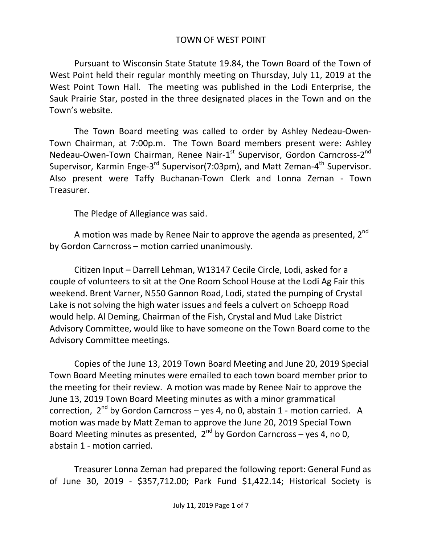## TOWN OF WEST POINT

Pursuant to Wisconsin State Statute 19.84, the Town Board of the Town of West Point held their regular monthly meeting on Thursday, July 11, 2019 at the West Point Town Hall. The meeting was published in the Lodi Enterprise, the Sauk Prairie Star, posted in the three designated places in the Town and on the Town's website.

The Town Board meeting was called to order by Ashley Nedeau-Owen-Town Chairman, at 7:00p.m. The Town Board members present were: Ashley Nedeau-Owen-Town Chairman, Renee Nair-1<sup>st</sup> Supervisor, Gordon Carncross-2<sup>nd</sup> Supervisor, Karmin Enge-3<sup>rd</sup> Supervisor(7:03pm), and Matt Zeman-4<sup>th</sup> Supervisor. Also present were Taffy Buchanan-Town Clerk and Lonna Zeman - Town Treasurer.

The Pledge of Allegiance was said.

A motion was made by Renee Nair to approve the agenda as presented, 2<sup>nd</sup> by Gordon Carncross – motion carried unanimously.

Citizen Input – Darrell Lehman, W13147 Cecile Circle, Lodi, asked for a couple of volunteers to sit at the One Room School House at the Lodi Ag Fair this weekend. Brent Varner, N550 Gannon Road, Lodi, stated the pumping of Crystal Lake is not solving the high water issues and feels a culvert on Schoepp Road would help. Al Deming, Chairman of the Fish, Crystal and Mud Lake District Advisory Committee, would like to have someone on the Town Board come to the Advisory Committee meetings.

Copies of the June 13, 2019 Town Board Meeting and June 20, 2019 Special Town Board Meeting minutes were emailed to each town board member prior to the meeting for their review. A motion was made by Renee Nair to approve the June 13, 2019 Town Board Meeting minutes as with a minor grammatical correction, 2<sup>nd</sup> by Gordon Carncross – yes 4, no 0, abstain 1 - motion carried. A motion was made by Matt Zeman to approve the June 20, 2019 Special Town Board Meeting minutes as presented,  $2^{nd}$  by Gordon Carncross – yes 4, no 0, abstain 1 - motion carried.

Treasurer Lonna Zeman had prepared the following report: General Fund as of June 30, 2019 - \$357,712.00; Park Fund \$1,422.14; Historical Society is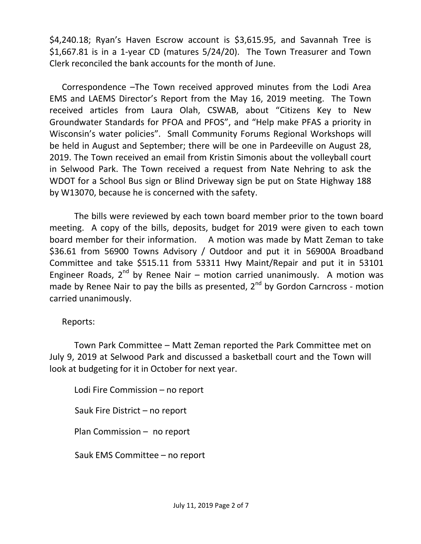\$4,240.18; Ryan's Haven Escrow account is \$3,615.95, and Savannah Tree is \$1,667.81 is in a 1-year CD (matures 5/24/20). The Town Treasurer and Town Clerk reconciled the bank accounts for the month of June.

Correspondence –The Town received approved minutes from the Lodi Area EMS and LAEMS Director's Report from the May 16, 2019 meeting. The Town received articles from Laura Olah, CSWAB, about "Citizens Key to New Groundwater Standards for PFOA and PFOS", and "Help make PFAS a priority in Wisconsin's water policies". Small Community Forums Regional Workshops will be held in August and September; there will be one in Pardeeville on August 28, 2019. The Town received an email from Kristin Simonis about the volleyball court in Selwood Park. The Town received a request from Nate Nehring to ask the WDOT for a School Bus sign or Blind Driveway sign be put on State Highway 188 by W13070, because he is concerned with the safety.

The bills were reviewed by each town board member prior to the town board meeting. A copy of the bills, deposits, budget for 2019 were given to each town board member for their information. A motion was made by Matt Zeman to take \$36.61 from 56900 Towns Advisory / Outdoor and put it in 56900A Broadband Committee and take \$515.11 from 53311 Hwy Maint/Repair and put it in 53101 Engineer Roads,  $2^{nd}$  by Renee Nair – motion carried unanimously. A motion was made by Renee Nair to pay the bills as presented,  $2^{nd}$  by Gordon Carncross - motion carried unanimously.

Reports:

Town Park Committee – Matt Zeman reported the Park Committee met on July 9, 2019 at Selwood Park and discussed a basketball court and the Town will look at budgeting for it in October for next year.

Lodi Fire Commission – no report Sauk Fire District – no report Plan Commission – no report Sauk EMS Committee – no report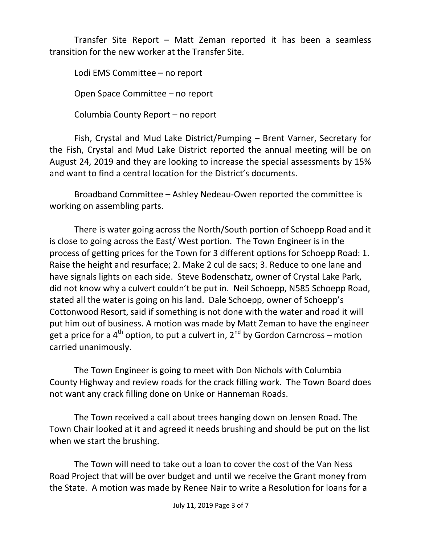Transfer Site Report – Matt Zeman reported it has been a seamless transition for the new worker at the Transfer Site.

Lodi EMS Committee – no report Open Space Committee – no report Columbia County Report – no report

Fish, Crystal and Mud Lake District/Pumping – Brent Varner, Secretary for the Fish, Crystal and Mud Lake District reported the annual meeting will be on August 24, 2019 and they are looking to increase the special assessments by 15% and want to find a central location for the District's documents.

Broadband Committee – Ashley Nedeau-Owen reported the committee is working on assembling parts.

There is water going across the North/South portion of Schoepp Road and it is close to going across the East/ West portion. The Town Engineer is in the process of getting prices for the Town for 3 different options for Schoepp Road: 1. Raise the height and resurface; 2. Make 2 cul de sacs; 3. Reduce to one lane and have signals lights on each side. Steve Bodenschatz, owner of Crystal Lake Park, did not know why a culvert couldn't be put in. Neil Schoepp, N585 Schoepp Road, stated all the water is going on his land. Dale Schoepp, owner of Schoepp's Cottonwood Resort, said if something is not done with the water and road it will put him out of business. A motion was made by Matt Zeman to have the engineer get a price for a  $4^{\text{th}}$  option, to put a culvert in,  $2^{\text{nd}}$  by Gordon Carncross – motion carried unanimously.

The Town Engineer is going to meet with Don Nichols with Columbia County Highway and review roads for the crack filling work. The Town Board does not want any crack filling done on Unke or Hanneman Roads.

The Town received a call about trees hanging down on Jensen Road. The Town Chair looked at it and agreed it needs brushing and should be put on the list when we start the brushing.

The Town will need to take out a loan to cover the cost of the Van Ness Road Project that will be over budget and until we receive the Grant money from the State. A motion was made by Renee Nair to write a Resolution for loans for a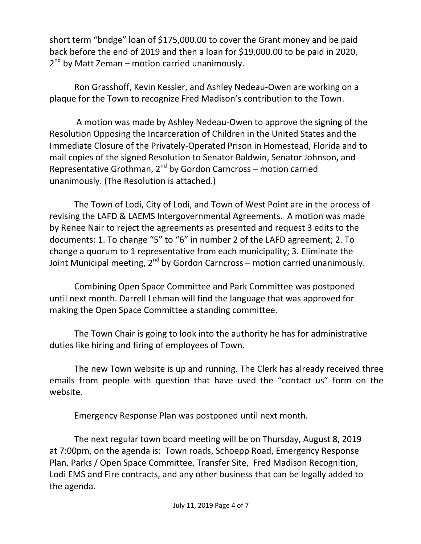short term "bridge" loan of \$175,000.00 to cover the Grant money and be paid back before the end of 2019 and then a loan for \$19,000.00 to be paid in 2020, 2<sup>nd</sup> by Matt Zeman – motion carried unanimously.

Ron Grasshoff, Kevin Kessler, and Ashley Nedeau-Owen are working on a plaque for the Town to recognize Fred Madison's contribution to the Town.

A motion was made by Ashley Nedeau-Owen to approve the signing of the Resolution Opposing the Incarceration of Children in the United States and the Immediate Closure of the Privately-Operated Prison in Homestead, Florida and to mail copies of the signed Resolution to Senator Baldwin, Senator Johnson, and Representative Grothman,  $2^{nd}$  by Gordon Carncross – motion carried unanimously. (The Resolution is attached.)

The Town of Lodi, City of Lodi, and Town of West Point are in the process of revising the LAFD & LAEMS Intergovernmental Agreements. A motion was made by Renee Nair to reject the agreements as presented and request 3 edits to the documents: 1. To change "5" to "6" in number 2 of the LAFD agreement; 2. To change a quorum to 1 representative from each municipality; 3. Eliminate the Joint Municipal meeting,  $2^{nd}$  by Gordon Carncross – motion carried unanimously.

Combining Open Space Committee and Park Committee was postponed until next month. Darrell Lehman will find the language that was approved for making the Open Space Committee a standing committee.

The Town Chair is going to look into the authority he has for administrative duties like hiring and firing of employees of Town.

The new Town website is up and running. The Clerk has already received three emails from people with question that have used the "contact us" form on the website.

Emergency Response Plan was postponed until next month.

The next regular town board meeting will be on Thursday, August 8, 2019 at 7:00pm, on the agenda is: Town roads, Schoepp Road, Emergency Response Plan, Parks / Open Space Committee, Transfer Site, Fred Madison Recognition, Lodi EMS and Fire contracts, and any other business that can be legally added to the agenda.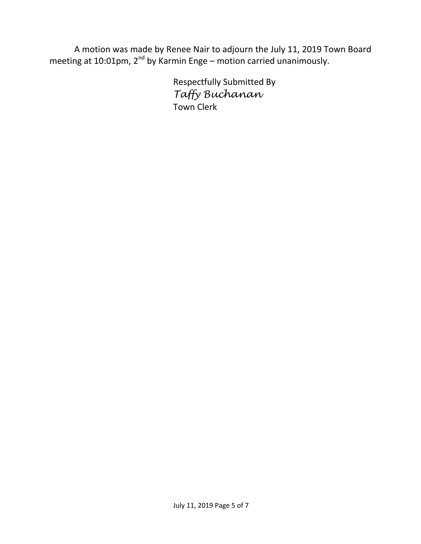A motion was made by Renee Nair to adjourn the July 11, 2019 Town Board meeting at 10:01pm, 2<sup>nd</sup> by Karmin Enge – motion carried unanimously.

> Respectfully Submitted By *Taffy Buchanan* Town Clerk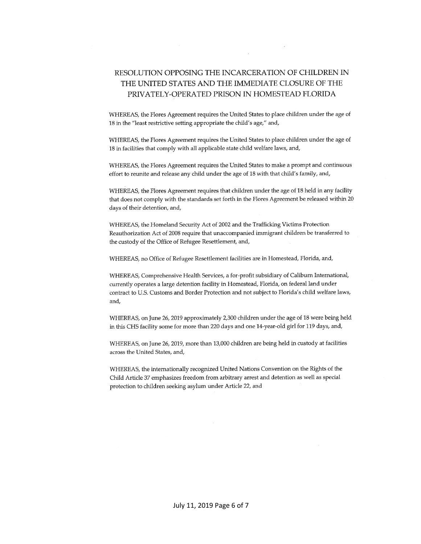## RESOLUTION OPPOSING THE INCARCERATION OF CHILDREN IN THE UNITED STATES AND THE IMMEDIATE CLOSURE OF THE PRIVATELY-OPERATED PRISON IN HOMESTEAD FLORIDA

WHEREAS, the Flores Agreement requires the United States to place children under the age of 18 in the "least restrictive setting appropriate the child's age," and,

WHEREAS, the Flores Agreement requires the United States to place children under the age of 18 in facilities that comply with all applicable state child welfare laws, and,

WHEREAS, the Flores Agreement requires the United States to make a prompt and continuous effort to reunite and release any child under the age of 18 with that child's family, and,

WHEREAS, the Flores Agreement requires that children under the age of 18 held in any facility that does not comply with the standards set forth in the Flores Agreement be released within 20 days of their detention, and,

WHEREAS, the Homeland Security Act of 2002 and the Trafficking Victims Protection Reauthorization Act of 2008 require that unaccompanied immigrant children be transferred to the custody of the Office of Refugee Resettlement, and,

WHEREAS, no Office of Refugee Resettlement facilities are in Homestead, Florida, and,

WHEREAS, Comprehensive Health Services, a for-profit subsidiary of Caliburn International, currently operates a large detention facility in Homestead, Florida, on federal land under contract to U.S. Customs and Border Protection and not subject to Florida's child welfare laws, and,

WHEREAS, on June 26, 2019 approximately 2,300 children under the age of 18 were being held in this CHS facility some for more than 220 days and one 14-year-old girl for 119 days, and,

WHEREAS, on June 26, 2019, more than 13,000 children are being held in custody at facilities across the United States, and,

WHEREAS, the internationally recognized United Nations Convention on the Rights of the Child Article 37 emphasizes freedom from arbitrary arrest and detention as well as special protection to children seeking asylum under Article 22, and